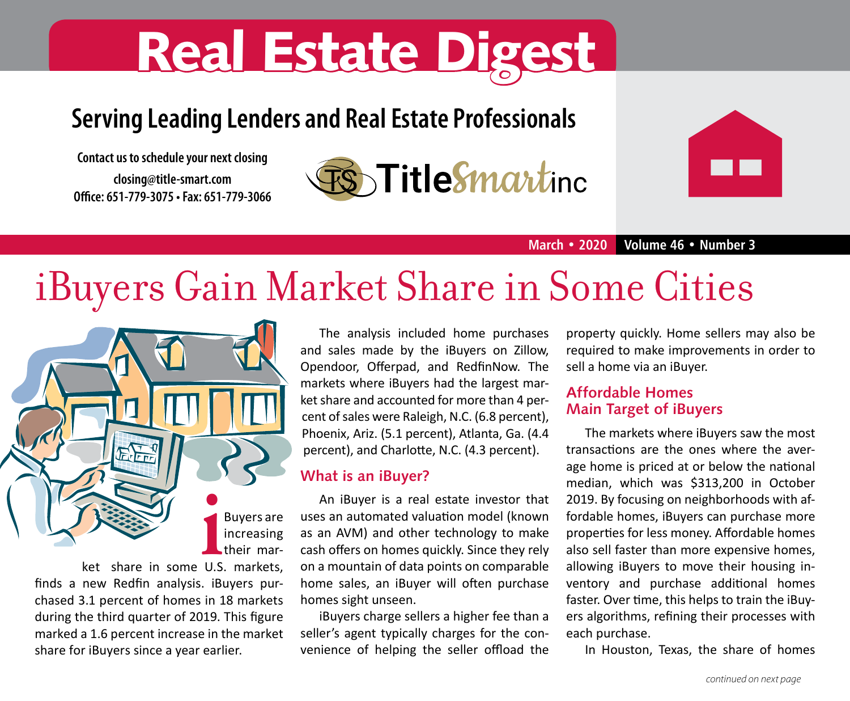# **Real Estate Digest**

## **Serving Leading Lenders and Real Estate Professionals**

**Contact us to schedule your next closing closing@title-smart.com Office: 651-779-3075 • Fax: 651-779-3066** 





**March • 2020 Volume 46 • Number 3**

## iBuyers Gain Market Share in Some Cities



finds a new Redfin analysis. iBuyers purchased 3.1 percent of homes in 18 markets during the third quarter of 2019. This figure marked a 1.6 percent increase in the market share for iBuyers since a year earlier.

The analysis included home purchases and sales made by the iBuyers on Zillow, Opendoor, Offerpad, and RedfinNow. The markets where iBuyers had the largest market share and accounted for more than 4 percent of sales were Raleigh, N.C. (6.8 percent), Phoenix, Ariz. (5.1 percent), Atlanta, Ga. (4.4 percent), and Charlotte, N.C. (4.3 percent).

#### **What is an iBuyer?**

An iBuyer is a real estate investor that uses an automated valuation model (known as an AVM) and other technology to make cash offers on homes quickly. Since they rely on a mountain of data points on comparable home sales, an iBuyer will often purchase homes sight unseen.

iBuyers charge sellers a higher fee than a seller's agent typically charges for the convenience of helping the seller offload the

property quickly. Home sellers may also be required to make improvements in order to sell a home via an iBuyer.

#### **Affordable Homes Main Target of iBuyers**

The markets where iBuyers saw the most transactions are the ones where the average home is priced at or below the national median, which was \$313,200 in October 2019. By focusing on neighborhoods with affordable homes, iBuyers can purchase more properties for less money. Affordable homes also sell faster than more expensive homes, allowing iBuyers to move their housing inventory and purchase additional homes faster. Over time, this helps to train the iBuyers algorithms, refining their processes with each purchase.

In Houston, Texas, the share of homes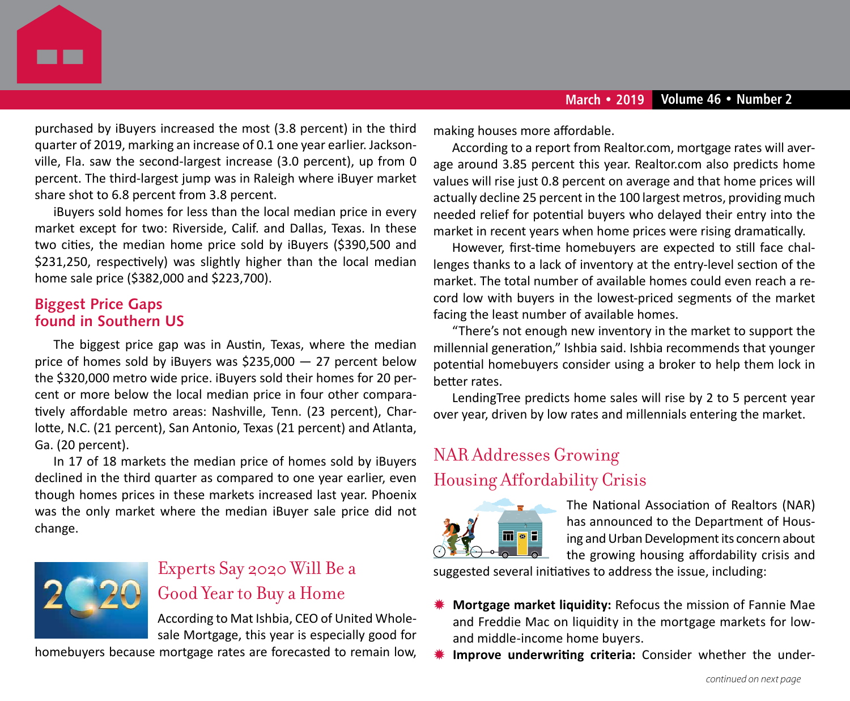

purchased by iBuyers increased the most (3.8 percent) in the third quarter of 2019, marking an increase of 0.1 one year earlier. Jacksonville, Fla. saw the second-largest increase (3.0 percent), up from 0 percent. The third-largest jump was in Raleigh where iBuyer market share shot to 6.8 percent from 3.8 percent.

iBuyers sold homes for less than the local median price in every market except for two: Riverside, Calif. and Dallas, Texas. In these two cities, the median home price sold by iBuyers (\$390,500 and \$231,250, respectively) was slightly higher than the local median home sale price (\$382,000 and \$223,700).

#### **Biggest Price Gaps found in Southern US**

The biggest price gap was in Austin, Texas, where the median price of homes sold by iBuyers was \$235,000 — 27 percent below the \$320,000 metro wide price. iBuyers sold their homes for 20 percent or more below the local median price in four other comparatively affordable metro areas: Nashville, Tenn. (23 percent), Charlotte, N.C. (21 percent), San Antonio, Texas (21 percent) and Atlanta, Ga. (20 percent).

In 17 of 18 markets the median price of homes sold by iBuyers declined in the third quarter as compared to one year earlier, even though homes prices in these markets increased last year. Phoenix was the only market where the median iBuyer sale price did not change.



## Experts Say 2020 Will Be a Good Year to Buy a Home

According to Mat Ishbia, CEO of United Wholesale Mortgage, this year is especially good for

homebuyers because mortgage rates are forecasted to remain low,

making houses more affordable.

According to a report from Realtor.com, mortgage rates will average around 3.85 percent this year. Realtor.com also predicts home values will rise just 0.8 percent on average and that home prices will actually decline 25 percent in the 100 largest metros, providing much needed relief for potential buyers who delayed their entry into the market in recent years when home prices were rising dramatically.

However, first-time homebuyers are expected to still face challenges thanks to a lack of inventory at the entry-level section of the market. The total number of available homes could even reach a record low with buyers in the lowest-priced segments of the market facing the least number of available homes.

"There's not enough new inventory in the market to support the millennial generation," Ishbia said. Ishbia recommends that younger potential homebuyers consider using a broker to help them lock in better rates.

LendingTree predicts home sales will rise by 2 to 5 percent year over year, driven by low rates and millennials entering the market.

## NAR Addresses Growing Housing Affordability Crisis



The National Association of Realtors (NAR) has announced to the Department of Housing and Urban Development its concern about the growing housing affordability crisis and

suggested several initiatives to address the issue, including:

- Mortgage market liquidity: Refocus the mission of Fannie Mae and Freddie Mac on liquidity in the mortgage markets for lowand middle-income home buyers.
- Improve underwriting criteria: Consider whether the under-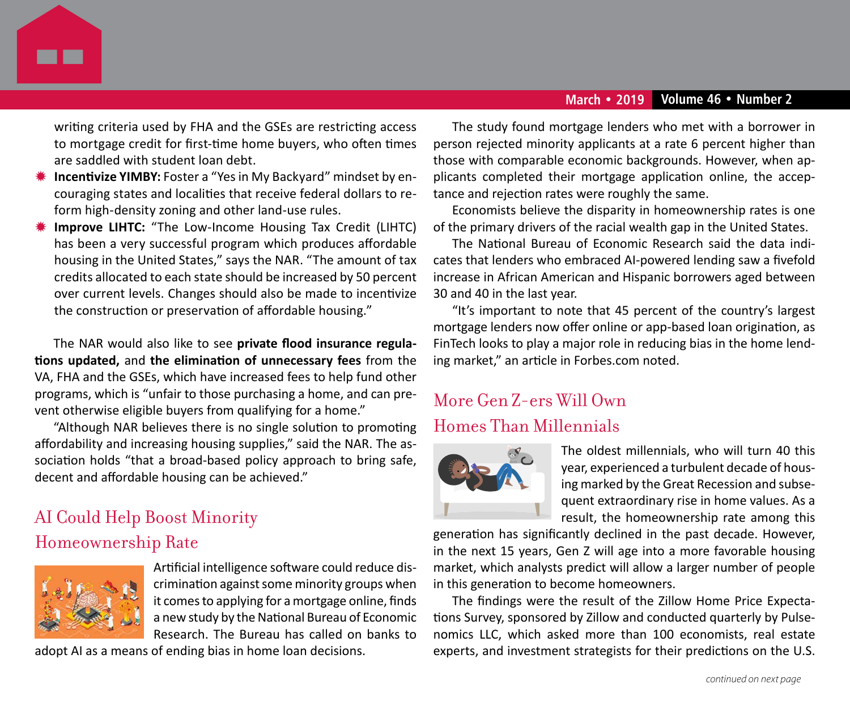

writing criteria used by FHA and the GSEs are restricting access to mortgage credit for first-time home buyers, who often times are saddled with student loan debt.

- **Incentivize YIMBY:** Foster a "Yes in My Backyard" mindset by encouraging states and localities that receive federal dollars to reform high-density zoning and other land-use rules.
- **Improve LIHTC:** "The Low-Income Housing Tax Credit (LIHTC) has been a very successful program which produces affordable housing in the United States," says the NAR. "The amount of tax credits allocated to each state should be increased by 50 percent over current levels. Changes should also be made to incentivize the construction or preservation of affordable housing."

The NAR would also like to see **private flood insurance regulations updated,** and **the elimination of unnecessary fees** from the VA, FHA and the GSEs, which have increased fees to help fund other programs, which is "unfair to those purchasing a home, and can prevent otherwise eligible buyers from qualifying for a home."

"Although NAR believes there is no single solution to promoting affordability and increasing housing supplies," said the NAR. The association holds "that a broad-based policy approach to bring safe, decent and affordable housing can be achieved."

## AI Could Help Boost Minority Homeownership Rate



Artificial intelligence software could reduce discrimination against some minority groups when it comes to applying for a mortgage online, finds a new study by the National Bureau of Economic Research. The Bureau has called on banks to

adopt AI as a means of ending bias in home loan decisions.

The study found mortgage lenders who met with a borrower in person rejected minority applicants at a rate 6 percent higher than those with comparable economic backgrounds. However, when applicants completed their mortgage application online, the acceptance and rejection rates were roughly the same.

Economists believe the disparity in homeownership rates is one of the primary drivers of the racial wealth gap in the United States.

The National Bureau of Economic Research said the data indicates that lenders who embraced AI-powered lending saw a fivefold increase in African American and Hispanic borrowers aged between 30 and 40 in the last year.

"It's important to note that 45 percent of the country's largest mortgage lenders now offer online or app-based loan origination, as FinTech looks to play a major role in reducing bias in the home lending market," an article in Forbes.com noted.

## More Gen Z-ers Will Own Homes Than Millennials



The oldest millennials, who will turn 40 this year, experienced a turbulent decade of housing marked by the Great Recession and subsequent extraordinary rise in home values. As a result, the homeownership rate among this

generation has significantly declined in the past decade. However, in the next 15 years, Gen Z will age into a more favorable housing market, which analysts predict will allow a larger number of people in this generation to become homeowners.

The findings were the result of the Zillow Home Price Expectations Survey, sponsored by Zillow and conducted quarterly by Pulsenomics LLC, which asked more than 100 economists, real estate experts, and investment strategists for their predictions on the U.S.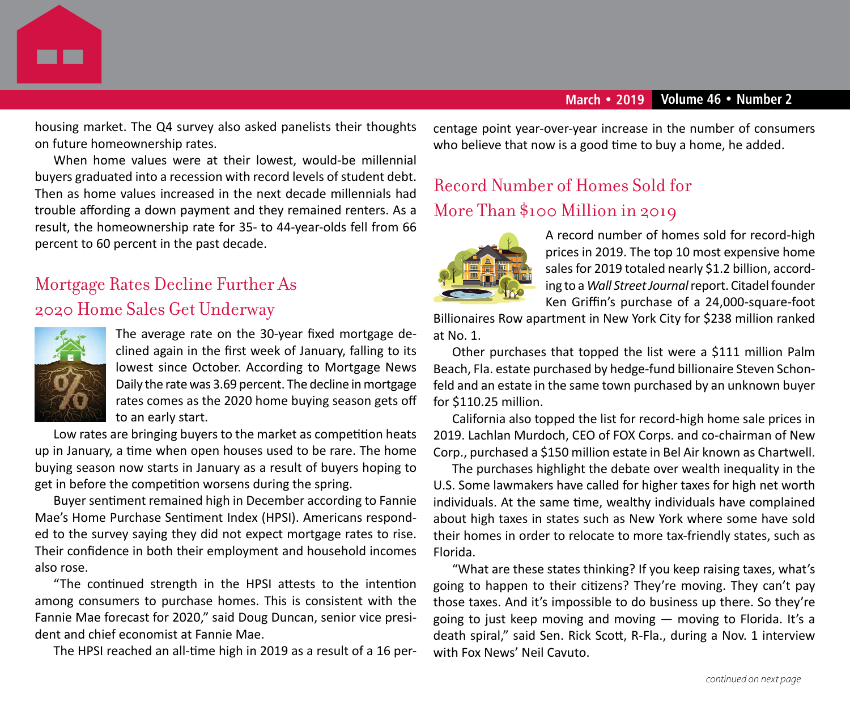

housing market. The Q4 survey also asked panelists their thoughts on future homeownership rates.

When home values were at their lowest, would-be millennial buyers graduated into a recession with record levels of student debt. Then as home values increased in the next decade millennials had trouble affording a down payment and they remained renters. As a result, the homeownership rate for 35- to 44-year-olds fell from 66 percent to 60 percent in the past decade.

## Mortgage Rates Decline Further As 2020 Home Sales Get Underway



The average rate on the 30-year fixed mortgage declined again in the first week of January, falling to its lowest since October. According to Mortgage News Daily the rate was 3.69 percent. The decline in mortgage rates comes as the 2020 home buying season gets off to an early start.

Low rates are bringing buyers to the market as competition heats up in January, a time when open houses used to be rare. The home buying season now starts in January as a result of buyers hoping to get in before the competition worsens during the spring.

Buyer sentiment remained high in December according to Fannie Mae's Home Purchase Sentiment Index (HPSI). Americans responded to the survey saying they did not expect mortgage rates to rise. Their confidence in both their employment and household incomes also rose.

"The continued strength in the HPSI attests to the intention among consumers to purchase homes. This is consistent with the Fannie Mae forecast for 2020," said Doug Duncan, senior vice president and chief economist at Fannie Mae.

The HPSI reached an all-time high in 2019 as a result of a 16 per-

centage point year-over-year increase in the number of consumers who believe that now is a good time to buy a home, he added.

## Record Number of Homes Sold for More Than \$100 Million in 2019



A record number of homes sold for record-high prices in 2019. The top 10 most expensive home sales for 2019 totaled nearly \$1.2 billion, according to a *Wall Street Journal* report. Citadel founder Ken Griffin's purchase of a 24,000-square-foot

Billionaires Row apartment in New York City for \$238 million ranked at No. 1.

Other purchases that topped the list were a \$111 million Palm Beach, Fla. estate purchased by hedge-fund billionaire Steven Schonfeld and an estate in the same town purchased by an unknown buyer for \$110.25 million.

California also topped the list for record-high home sale prices in 2019. Lachlan Murdoch, CEO of FOX Corps. and co-chairman of New Corp., purchased a \$150 million estate in Bel Air known as Chartwell.

The purchases highlight the debate over wealth inequality in the U.S. Some lawmakers have called for higher taxes for high net worth individuals. At the same time, wealthy individuals have complained about high taxes in states such as New York where some have sold their homes in order to relocate to more tax-friendly states, such as Florida.

"What are these states thinking? If you keep raising taxes, what's going to happen to their citizens? They're moving. They can't pay those taxes. And it's impossible to do business up there. So they're going to just keep moving and moving — moving to Florida. It's a death spiral," said Sen. Rick Scott, R-Fla., during a Nov. 1 interview with Fox News' Neil Cavuto.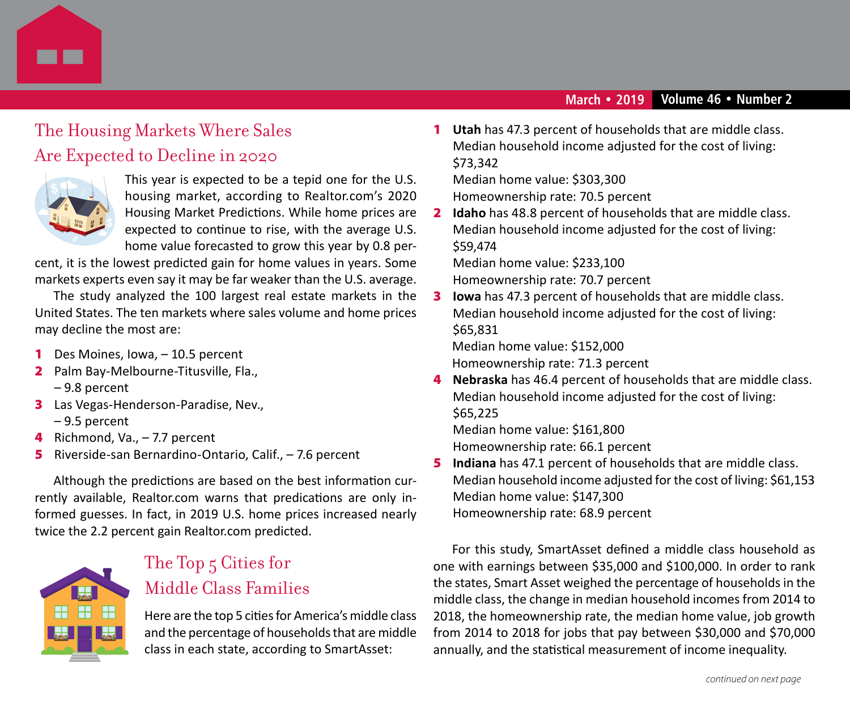

## The Housing Markets Where Sales Are Expected to Decline in 2020



This year is expected to be a tepid one for the U.S. housing market, according to Realtor.com's 2020 Housing Market Predictions. While home prices are expected to continue to rise, with the average U.S. home value forecasted to grow this year by 0.8 per-

cent, it is the lowest predicted gain for home values in years. Some markets experts even say it may be far weaker than the U.S. average.

The study analyzed the 100 largest real estate markets in the United States. The ten markets where sales volume and home prices may decline the most are:

- 1 Des Moines, Iowa, 10.5 percent
- 2 Palm Bay-Melbourne-Titusville, Fla., – 9.8 percent
- 3 Las Vegas-Henderson-Paradise, Nev., – 9.5 percent
- 4 Richmond, Va., -7.7 percent
- 5 Riverside-san Bernardino-Ontario, Calif., 7.6 percent

Although the predictions are based on the best information currently available, Realtor.com warns that predications are only informed guesses. In fact, in 2019 U.S. home prices increased nearly twice the 2.2 percent gain Realtor.com predicted.



## The Top 5 Cities for Middle Class Families

Here are the top 5 cities for America's middle class and the percentage of households that are middle class in each state, according to SmartAsset:

1 **Utah** has 47.3 percent of households that are middle class. Median household income adjusted for the cost of living: \$73,342

Median home value: \$303,300 Homeownership rate: 70.5 percent

2 **Idaho** has 48.8 percent of households that are middle class. Median household income adjusted for the cost of living: \$59,474

Median home value: \$233,100

Homeownership rate: 70.7 percent

3 **Iowa** has 47.3 percent of households that are middle class. Median household income adjusted for the cost of living: \$65,831

Median home value: \$152,000

Homeownership rate: 71.3 percent

4 **Nebraska** has 46.4 percent of households that are middle class. Median household income adjusted for the cost of living: \$65,225 Median home value: \$161,800

Homeownership rate: 66.1 percent

5 **Indiana** has 47.1 percent of households that are middle class. Median household income adjusted for the cost of living: \$61,153 Median home value: \$147,300 Homeownership rate: 68.9 percent

For this study, SmartAsset defined a middle class household as one with earnings between \$35,000 and \$100,000. In order to rank the states, Smart Asset weighed the percentage of households in the middle class, the change in median household incomes from 2014 to 2018, the homeownership rate, the median home value, job growth from 2014 to 2018 for jobs that pay between \$30,000 and \$70,000 annually, and the statistical measurement of income inequality.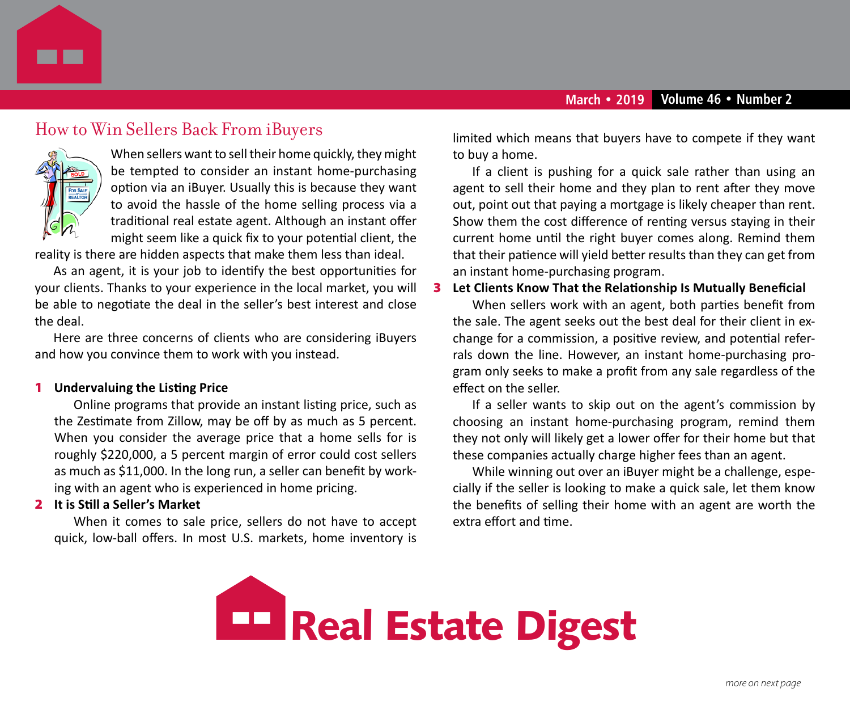

### How to Win Sellers Back From iBuyers



When sellers want to sell their home quickly, they might be tempted to consider an instant home-purchasing option via an iBuyer. Usually this is because they want to avoid the hassle of the home selling process via a traditional real estate agent. Although an instant offer might seem like a quick fix to your potential client, the

reality is there are hidden aspects that make them less than ideal.

As an agent, it is your job to identify the best opportunities for your clients. Thanks to your experience in the local market, you will be able to negotiate the deal in the seller's best interest and close the deal.

Here are three concerns of clients who are considering iBuyers and how you convince them to work with you instead.

#### 1 **Undervaluing the Listing Price**

Online programs that provide an instant listing price, such as the Zestimate from Zillow, may be off by as much as 5 percent. When you consider the average price that a home sells for is roughly \$220,000, a 5 percent margin of error could cost sellers as much as \$11,000. In the long run, a seller can benefit by working with an agent who is experienced in home pricing.

#### 2 **It is Still a Seller's Market**

When it comes to sale price, sellers do not have to accept quick, low-ball offers. In most U.S. markets, home inventory is

limited which means that buyers have to compete if they want to buy a home.

If a client is pushing for a quick sale rather than using an agent to sell their home and they plan to rent after they move out, point out that paying a mortgage is likely cheaper than rent. Show them the cost difference of renting versus staying in their current home until the right buyer comes along. Remind them that their patience will yield better results than they can get from an instant home-purchasing program.

#### 3 **Let Clients Know That the Relationship Is Mutually Beneficial**

When sellers work with an agent, both parties benefit from the sale. The agent seeks out the best deal for their client in exchange for a commission, a positive review, and potential referrals down the line. However, an instant home-purchasing program only seeks to make a profit from any sale regardless of the effect on the seller.

If a seller wants to skip out on the agent's commission by choosing an instant home-purchasing program, remind them they not only will likely get a lower offer for their home but that these companies actually charge higher fees than an agent.

While winning out over an iBuyer might be a challenge, especially if the seller is looking to make a quick sale, let them know the benefits of selling their home with an agent are worth the extra effort and time.